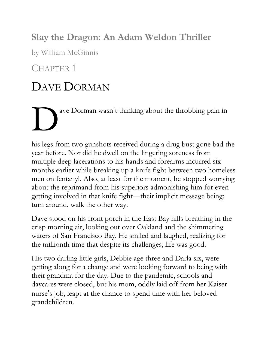#### **Slay the Dragon: An Adam Weldon Thriller**

by William McGinnis

#### CHAPTER<sup>1</sup>

### DAVE DORMAN

D ave Dorman wasn't thinking about the throbbing pain in

his legs from two gunshots received during a drug bust gone bad the year before. Nor did he dwell on the lingering soreness from multiple deep lacerations to his hands and forearms incurred six months earlier while breaking up a knife fight between two homeless men on fentanyl. Also, at least for the moment, he stopped worrying about the reprimand from his superiors admonishing him for even getting involved in that knife fight—their implicit message being: turn around, walk the other way.

Dave stood on his front porch in the East Bay hills breathing in the crisp morning air, looking out over Oakland and the shimmering waters of San Francisco Bay. He smiled and laughed, realizing for the millionth time that despite its challenges, life was good.

His two darling little girls, Debbie age three and Darla six, were getting along for a change and were looking forward to being with their grandma for the day. Due to the pandemic, schools and daycares were closed, but his mom, oddly laid off from her Kaiser nurse's job, leapt at the chance to spend time with her beloved grandchildren.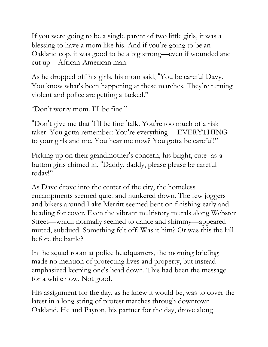If you were going to be a single parent of two little girls, it was a blessing to have a mom like his. And if you're going to be an Oakland cop, it was good to be a big strong—even if wounded and cut up—African-American man.

As he dropped off his girls, his mom said, "You be careful Davy. You know what's been happening at these marches. They're turning violent and police are getting attacked."

"Don't worry mom. I'll be fine."

"Don't give me that 'I'll be fine 'talk. You're too much of a risk taker. You gotta remember: You're everything— EVERYTHING to your girls and me. You hear me now? You gotta be careful!"

Picking up on their grandmother's concern, his bright, cute- as-abutton girls chimed in. "Daddy, daddy, please please be careful today!"

As Dave drove into the center of the city, the homeless encampments seemed quiet and hunkered down. The few joggers and bikers around Lake Merritt seemed bent on finishing early and heading for cover. Even the vibrant multistory murals along Webster Street—which normally seemed to dance and shimmy—appeared muted, subdued. Something felt off. Was it him? Or was this the lull before the battle?

In the squad room at police headquarters, the morning briefing made no mention of protecting lives and property, but instead emphasized keeping one's head down. This had been the message for a while now. Not good.

His assignment for the day, as he knew it would be, was to cover the latest in a long string of protest marches through downtown Oakland. He and Payton, his partner for the day, drove along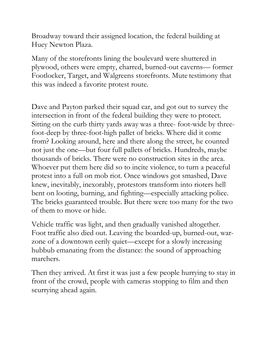Broadway toward their assigned location, the federal building at Huey Newton Plaza.

Many of the storefronts lining the boulevard were shuttered in plywood, others were empty, charred, burned-out caverns— former Footlocker, Target, and Walgreens storefronts. Mute testimony that this was indeed a favorite protest route.

Dave and Payton parked their squad car, and got out to survey the intersection in front of the federal building they were to protect. Sitting on the curb thirty yards away was a three- foot-wide by threefoot-deep by three-foot-high pallet of bricks. Where did it come from? Looking around, here and there along the street, he counted not just the one—but four full pallets of bricks. Hundreds, maybe thousands of bricks. There were no construction sites in the area. Whoever put them here did so to incite violence, to turn a peaceful protest into a full on mob riot. Once windows got smashed, Dave knew, inevitably, inexorably, protestors transform into rioters hell bent on looting, burning, and fighting—especially attacking police. The bricks guaranteed trouble. But there were too many for the two of them to move or hide.

Vehicle traffic was light, and then gradually vanished altogether. Foot traffic also died out. Leaving the boarded-up, burned-out, warzone of a downtown eerily quiet—except for a slowly increasing hubbub emanating from the distance: the sound of approaching marchers.

Then they arrived. At first it was just a few people hurrying to stay in front of the crowd, people with cameras stopping to film and then scurrying ahead again.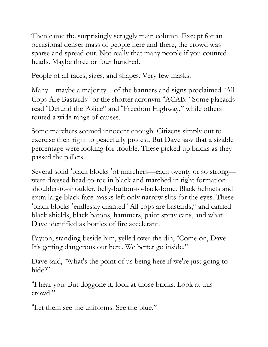Then came the surprisingly scraggly main column. Except for an occasional denser mass of people here and there, the crowd was sparse and spread out. Not really that many people if you counted heads. Maybe three or four hundred.

People of all races, sizes, and shapes. Very few masks.

Many—maybe a majority—of the banners and signs proclaimed "All Cops Are Bastards" or the shorter acronym "ACAB." Some placards read "Defund the Police" and "Freedom Highway," while others touted a wide range of causes.

Some marchers seemed innocent enough. Citizens simply out to exercise their right to peacefully protest. But Dave saw that a sizable percentage were looking for trouble. These picked up bricks as they passed the pallets.

Several solid 'black blocks 'of marchers—each twenty or so strong were dressed head-to-toe in black and marched in tight formation shoulder-to-shoulder, belly-button-to-back-bone. Black helmets and extra large black face masks left only narrow slits for the eyes. These 'black blocks 'endlessly chanted "All cops are bastards," and carried black shields, black batons, hammers, paint spray cans, and what Dave identified as bottles of fire accelerant.

Payton, standing beside him, yelled over the din, "Come on, Dave. It's getting dangerous out here. We better go inside."

Dave said, "What's the point of us being here if we're just going to hide?"

"I hear you. But doggone it, look at those bricks. Look at this crowd."

"Let them see the uniforms. See the blue."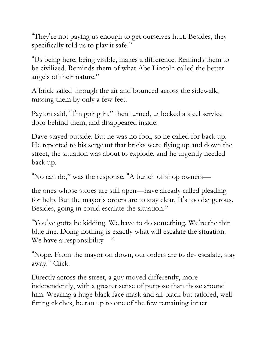"They're not paying us enough to get ourselves hurt. Besides, they specifically told us to play it safe."

"Us being here, being visible, makes a difference. Reminds them to be civilized. Reminds them of what Abe Lincoln called the better angels of their nature."

A brick sailed through the air and bounced across the sidewalk, missing them by only a few feet.

Payton said, "I'm going in," then turned, unlocked a steel service door behind them, and disappeared inside.

Dave stayed outside. But he was no fool, so he called for back up. He reported to his sergeant that bricks were flying up and down the street, the situation was about to explode, and he urgently needed back up.

"No can do," was the response. "A bunch of shop owners—

the ones whose stores are still open—have already called pleading for help. But the mayor's orders are to stay clear. It's too dangerous. Besides, going in could escalate the situation."

"You've gotta be kidding. We have to do something. We're the thin blue line. Doing nothing is exactly what will escalate the situation. We have a responsibility—"

"Nope. From the mayor on down, our orders are to de- escalate, stay away." Click.

Directly across the street, a guy moved differently, more independently, with a greater sense of purpose than those around him. Wearing a huge black face mask and all-black but tailored, wellfitting clothes, he ran up to one of the few remaining intact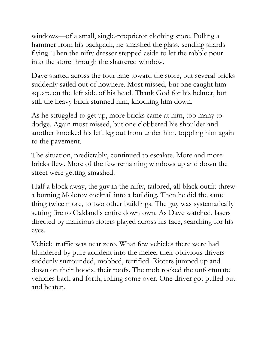windows—of a small, single-proprietor clothing store. Pulling a hammer from his backpack, he smashed the glass, sending shards flying. Then the nifty dresser stepped aside to let the rabble pour into the store through the shattered window.

Dave started across the four lane toward the store, but several bricks suddenly sailed out of nowhere. Most missed, but one caught him square on the left side of his head. Thank God for his helmet, but still the heavy brick stunned him, knocking him down.

As he struggled to get up, more bricks came at him, too many to dodge. Again most missed, but one clobbered his shoulder and another knocked his left leg out from under him, toppling him again to the pavement.

The situation, predictably, continued to escalate. More and more bricks flew. More of the few remaining windows up and down the street were getting smashed.

Half a block away, the guy in the nifty, tailored, all-black outfit threw a burning Molotov cocktail into a building. Then he did the same thing twice more, to two other buildings. The guy was systematically setting fire to Oakland's entire downtown. As Dave watched, lasers directed by malicious rioters played across his face, searching for his eyes.

Vehicle traffic was near zero. What few vehicles there were had blundered by pure accident into the melee, their oblivious drivers suddenly surrounded, mobbed, terrified. Rioters jumped up and down on their hoods, their roofs. The mob rocked the unfortunate vehicles back and forth, rolling some over. One driver got pulled out and beaten.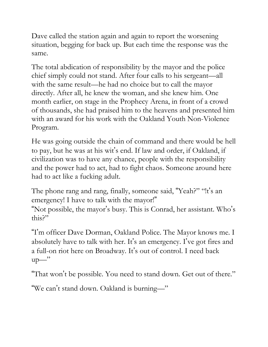Dave called the station again and again to report the worsening situation, begging for back up. But each time the response was the same.

The total abdication of responsibility by the mayor and the police chief simply could not stand. After four calls to his sergeant—all with the same result—he had no choice but to call the mayor directly. After all, he knew the woman, and she knew him. One month earlier, on stage in the Prophecy Arena, in front of a crowd of thousands, she had praised him to the heavens and presented him with an award for his work with the Oakland Youth Non-Violence Program.

He was going outside the chain of command and there would be hell to pay, but he was at his wit's end. If law and order, if Oakland, if civilization was to have any chance, people with the responsibility and the power had to act, had to fight chaos. Someone around here had to act like a fucking adult.

The phone rang and rang, finally, someone said, "Yeah?" "!t's an emergency! I have to talk with the mayor!" "Not possible, the mayor's busy. This is Conrad, her assistant. Who's

this?"

"I'm officer Dave Dorman, Oakland Police. The Mayor knows me. I absolutely have to talk with her. It's an emergency. I've got fires and a full-on riot here on Broadway. It's out of control. I need back  $up$ —"

"That won't be possible. You need to stand down. Get out of there."

"We can't stand down. Oakland is burning—"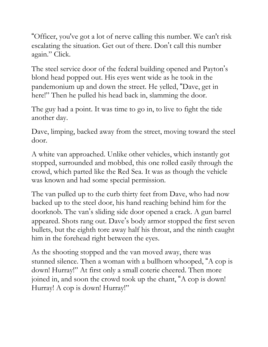"Officer, you've got a lot of nerve calling this number. We can't risk escalating the situation. Get out of there. Don't call this number again." Click.

The steel service door of the federal building opened and Payton's blond head popped out. His eyes went wide as he took in the pandemonium up and down the street. He yelled, "Dave, get in here!" Then he pulled his head back in, slamming the door.

The guy had a point. It was time to go in, to live to fight the tide another day.

Dave, limping, backed away from the street, moving toward the steel door.

A white van approached. Unlike other vehicles, which instantly got stopped, surrounded and mobbed, this one rolled easily through the crowd, which parted like the Red Sea. It was as though the vehicle was known and had some special permission.

The van pulled up to the curb thirty feet from Dave, who had now backed up to the steel door, his hand reaching behind him for the doorknob. The van's sliding side door opened a crack. A gun barrel appeared. Shots rang out. Dave's body armor stopped the first seven bullets, but the eighth tore away half his throat, and the ninth caught him in the forehead right between the eyes.

As the shooting stopped and the van moved away, there was stunned silence. Then a woman with a bullhorn whooped, "A cop is down! Hurray!" At first only a small coterie cheered. Then more joined in, and soon the crowd took up the chant, "A cop is down! Hurray! A cop is down! Hurray!"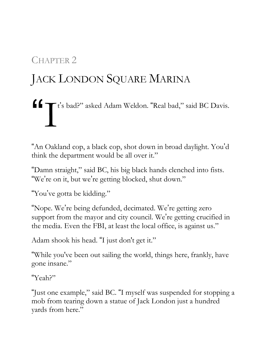#### CHAPTER 2

## JACK LONDON SQUARE MARINA

# "I t's bad?" asked Adam Weldon. "Real bad," said BC Davis.

"An Oakland cop, a black cop, shot down in broad daylight. You'd think the department would be all over it."

"Damn straight," said BC, his big black hands clenched into fists. "We're on it, but we're getting blocked, shut down."

"You've gotta be kidding."

"Nope. We're being defunded, decimated. We're getting zero support from the mayor and city council. We're getting crucified in the media. Even the FBI, at least the local office, is against us."

Adam shook his head. "I just don't get it."

"While you've been out sailing the world, things here, frankly, have gone insane."

"Yeah?"

"Just one example," said BC. "I myself was suspended for stopping a mob from tearing down a statue of Jack London just a hundred yards from here."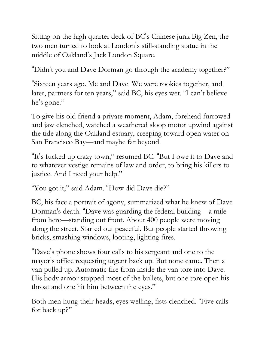Sitting on the high quarter deck of BC's Chinese junk Big Zen, the two men turned to look at London's still-standing statue in the middle of Oakland's Jack London Square.

"Didn't you and Dave Dorman go through the academy together?"

"Sixteen years ago. Me and Dave. We were rookies together, and later, partners for ten years," said BC, his eyes wet. "I can't believe he's gone."

To give his old friend a private moment, Adam, forehead furrowed and jaw clenched, watched a weathered sloop motor upwind against the tide along the Oakland estuary, creeping toward open water on San Francisco Bay—and maybe far beyond.

"It's fucked up crazy town," resumed BC. "But I owe it to Dave and to whatever vestige remains of law and order, to bring his killers to justice. And I need your help."

"You got it," said Adam. "How did Dave die?"

BC, his face a portrait of agony, summarized what he knew of Dave Dorman's death. "Dave was guarding the federal building—a mile from here—standing out front. About 400 people were moving along the street. Started out peaceful. But people started throwing bricks, smashing windows, looting, lighting fires.

"Dave's phone shows four calls to his sergeant and one to the mayor's office requesting urgent back up. But none came. Then a van pulled up. Automatic fire from inside the van tore into Dave. His body armor stopped most of the bullets, but one tore open his throat and one hit him between the eyes."

Both men hung their heads, eyes welling, fists clenched. "Five calls for back up?"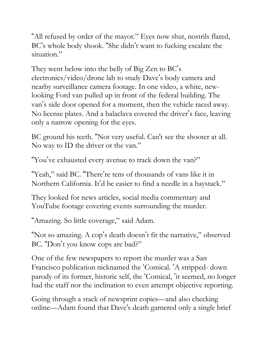"All refused by order of the mayor." Eyes now shut, nostrils flared, BC's whole body shook. "She didn't want to fucking escalate the situation."

They went below into the belly of Big Zen to BC's electronics/video/drone lab to study Dave's body camera and nearby surveillance camera footage. In one video, a white, newlooking Ford van pulled up in front of the federal building. The van's side door opened for a moment, then the vehicle raced away. No license plates. And a balaclava covered the driver's face, leaving only a narrow opening for the eyes.

BC ground his teeth. "Not very useful. Can't see the shooter at all. No way to ID the driver or the van."

"You've exhausted every avenue to track down the van?"

"Yeah," said BC. "There're tens of thousands of vans like it in Northern California. It'd be easier to find a needle in a haystack."

They looked for news articles, social media commentary and YouTube footage covering events surrounding the murder.

"Amazing. So little coverage," said Adam.

"Not so amazing. A cop's death doesn't fit the narrative," observed BC. "Don't you know cops are bad?"

One of the few newspapers to report the murder was a San Francisco publication nicknamed the 'Comical. 'A stripped- down parody of its former, historic self, the 'Comical, 'it seemed, no longer had the staff nor the inclination to even attempt objective reporting.

Going through a stack of newsprint copies—and also checking online—Adam found that Dave's death garnered only a single brief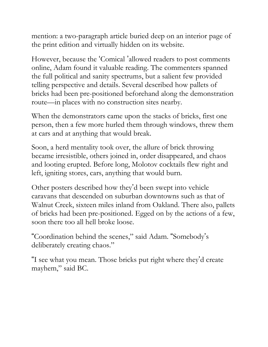mention: a two-paragraph article buried deep on an interior page of the print edition and virtually hidden on its website.

However, because the 'Comical 'allowed readers to post comments online, Adam found it valuable reading. The commenters spanned the full political and sanity spectrums, but a salient few provided telling perspective and details. Several described how pallets of bricks had been pre-positioned beforehand along the demonstration route—in places with no construction sites nearby.

When the demonstrators came upon the stacks of bricks, first one person, then a few more hurled them through windows, threw them at cars and at anything that would break.

Soon, a herd mentality took over, the allure of brick throwing became irresistible, others joined in, order disappeared, and chaos and looting erupted. Before long, Molotov cocktails flew right and left, igniting stores, cars, anything that would burn.

Other posters described how they'd been swept into vehicle caravans that descended on suburban downtowns such as that of Walnut Creek, sixteen miles inland from Oakland. There also, pallets of bricks had been pre-positioned. Egged on by the actions of a few, soon there too all hell broke loose.

"Coordination behind the scenes," said Adam. "Somebody's deliberately creating chaos."

"I see what you mean. Those bricks put right where they'd create mayhem," said BC.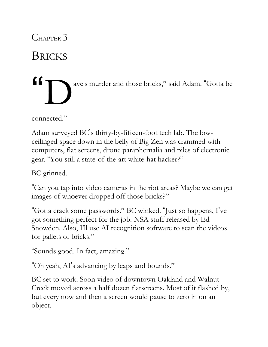CHAPTER 3

**BRICKS** 



connected."

Adam surveyed BC's thirty-by-fifteen-foot tech lab. The lowceilinged space down in the belly of Big Zen was crammed with computers, flat screens, drone paraphernalia and piles of electronic gear. "You still a state-of-the-art white-hat hacker?"

BC grinned.

"Can you tap into video cameras in the riot areas? Maybe we can get images of whoever dropped off those bricks?"

"Gotta crack some passwords." BC winked. "Just so happens, I've got something perfect for the job. NSA stuff released by Ed Snowden. Also, I'll use AI recognition software to scan the videos for pallets of bricks."

"Sounds good. In fact, amazing."

"Oh yeah, AI's advancing by leaps and bounds."

BC set to work. Soon video of downtown Oakland and Walnut Creek moved across a half dozen flatscreens. Most of it flashed by, but every now and then a screen would pause to zero in on an object.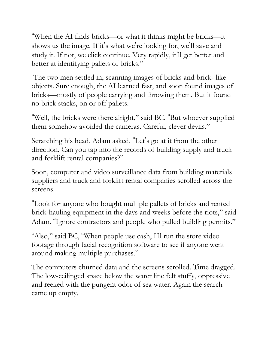"When the AI finds bricks—or what it thinks might be bricks—it shows us the image. If it's what we're looking for, we'll save and study it. If not, we click continue. Very rapidly, it'll get better and better at identifying pallets of bricks."

The two men settled in, scanning images of bricks and brick- like objects. Sure enough, the AI learned fast, and soon found images of bricks—mostly of people carrying and throwing them. But it found no brick stacks, on or off pallets.

"Well, the bricks were there alright," said BC. "But whoever supplied them somehow avoided the cameras. Careful, clever devils."

Scratching his head, Adam asked, "Let's go at it from the other direction. Can you tap into the records of building supply and truck and forklift rental companies?"

Soon, computer and video surveillance data from building materials suppliers and truck and forklift rental companies scrolled across the screens.

"Look for anyone who bought multiple pallets of bricks and rented brick-hauling equipment in the days and weeks before the riots," said Adam. "Ignore contractors and people who pulled building permits."

"Also," said BC, "When people use cash, I'll run the store video footage through facial recognition software to see if anyone went around making multiple purchases."

The computers churned data and the screens scrolled. Time dragged. The low-ceilinged space below the water line felt stuffy, oppressive and reeked with the pungent odor of sea water. Again the search came up empty.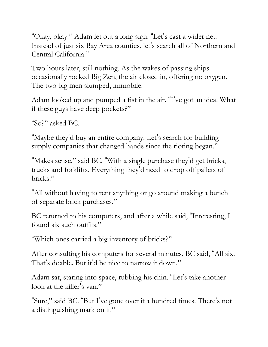"Okay, okay." Adam let out a long sigh. "Let's cast a wider net. Instead of just six Bay Area counties, let's search all of Northern and Central California."

Two hours later, still nothing. As the wakes of passing ships occasionally rocked Big Zen, the air closed in, offering no oxygen. The two big men slumped, immobile.

Adam looked up and pumped a fist in the air. "I've got an idea. What if these guys have deep pockets?"

"So?" asked BC.

"Maybe they'd buy an entire company. Let's search for building supply companies that changed hands since the rioting began."

"Makes sense," said BC. "With a single purchase they'd get bricks, trucks and forklifts. Everything they'd need to drop off pallets of bricks."

"All without having to rent anything or go around making a bunch of separate brick purchases."

BC returned to his computers, and after a while said, "Interesting, I found six such outfits."

"Which ones carried a big inventory of bricks?"

After consulting his computers for several minutes, BC said, "All six. That's doable. But it'd be nice to narrow it down."

Adam sat, staring into space, rubbing his chin. "Let's take another look at the killer's van."

"Sure," said BC. "But I've gone over it a hundred times. There's not a distinguishing mark on it."